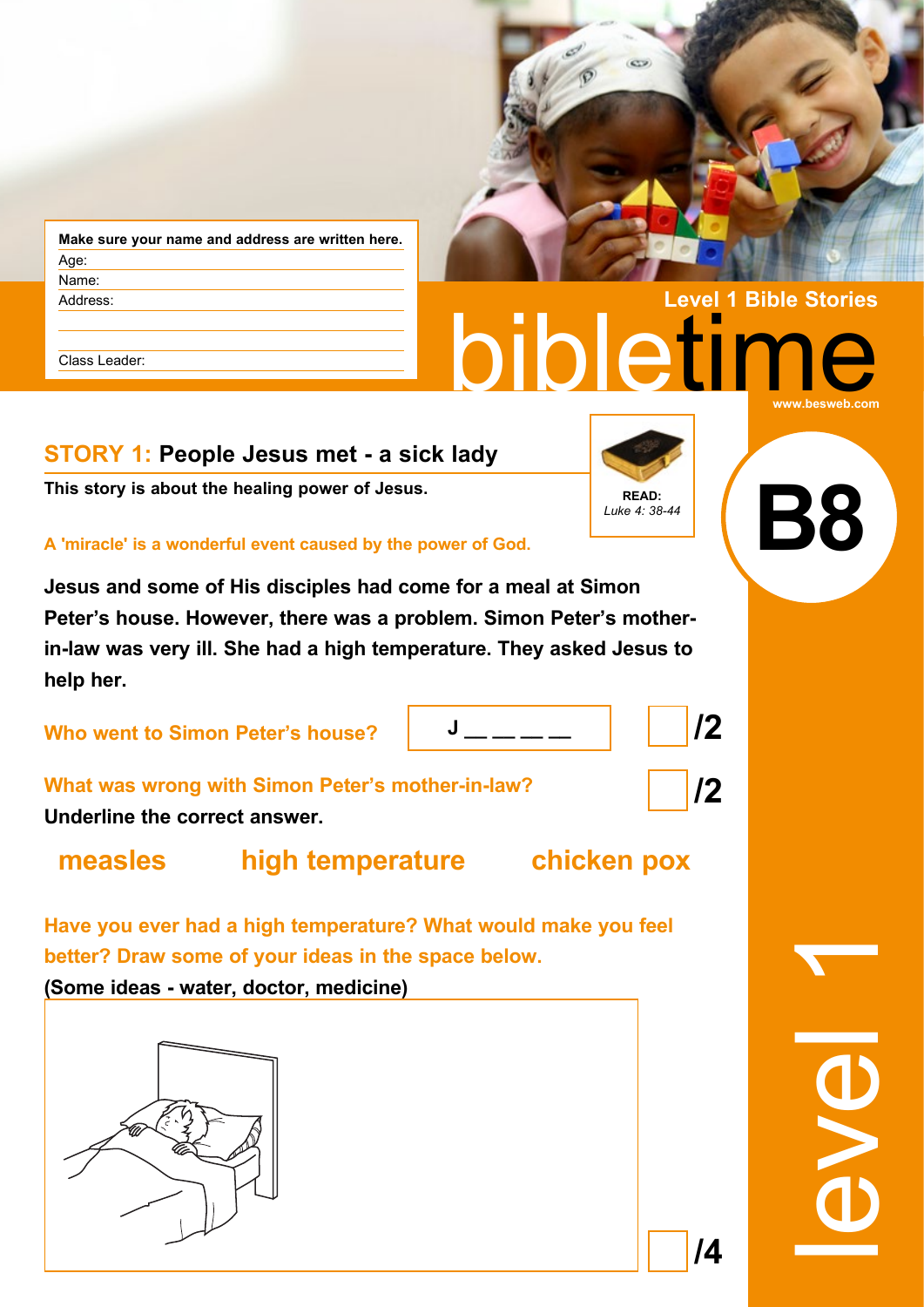| Age:<br>Name: |  |
|---------------|--|
|               |  |
|               |  |
| Address:      |  |

Class Leader:

## **STORY 1: People Jesus met - a sick lady**

**This story is about the healing power of Jesus. READ:** READ:

**A 'miracle' is a wonderful event caused by the power of God.** 

**Jesus and some of His disciples had come for a meal at Simon Peter's house. However, there was a problem. Simon Peter's motherin-law was very ill. She had a high temperature. They asked Jesus to help her.**

**Who went to Simon Peter's house?** 

|--|

**What was wrong with Simon Peter's mother-in-law? Underline the correct answer.**

**measles high temperature chicken pox**

**Have you ever had a high temperature? What would make you feel better? Draw some of your ideas in the space below. (Some ideas - water, doctor, medicine)**



*Luke 4: 38-44*

 $\overline{c}$ 

**/2**

**/2**



**/4**



**Level 1 Bible Stories**

**B8**

**bibletir** 

**www.besweb.com**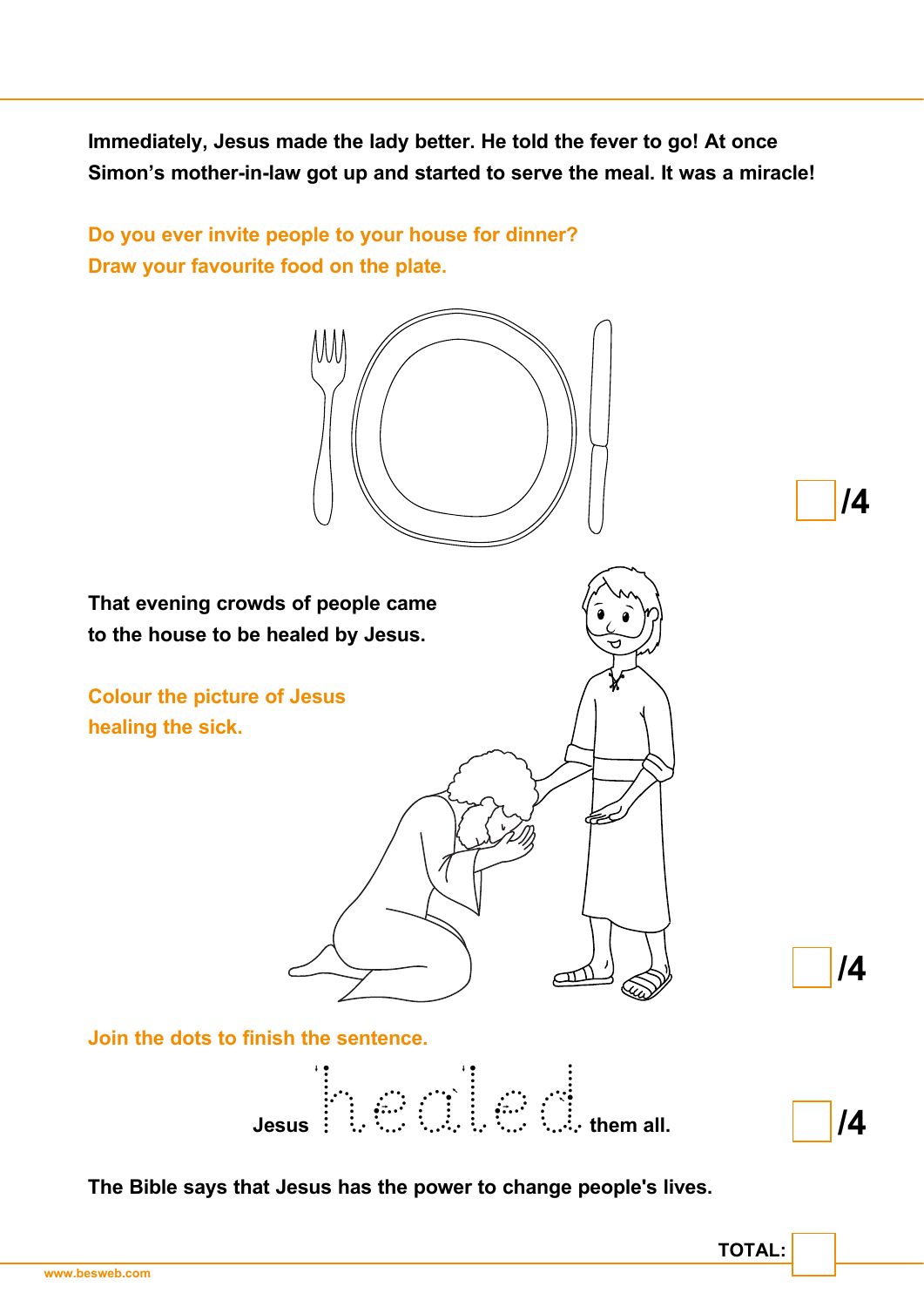**Immediately, Jesus made the lady better. He told the fever to go! At once Simon's mother-in-law got up and started to serve the meal. It was a miracle!**

**Do you ever invite people to your house for dinner? Draw your favourite food on the plate.**



**The Bible says that Jesus has the power to change people's lives.**

**TOTAL:**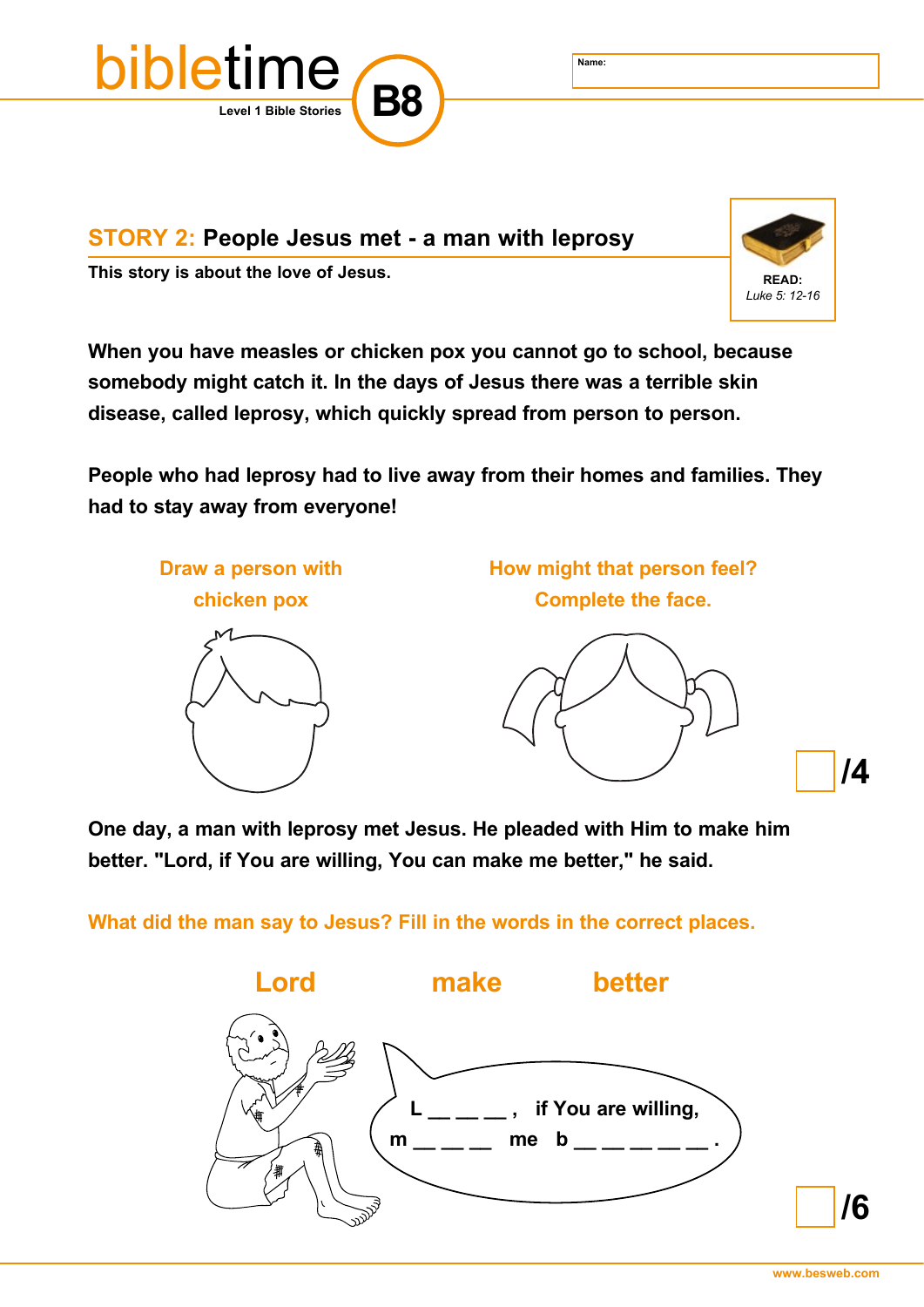

**STORY 2: People Jesus met - a man with leprosy**

This story is about the love of Jesus. **A CONSTANDING THE READ:** READ:



**When you have measles or chicken pox you cannot go to school, because somebody might catch it. In the days of Jesus there was a terrible skin disease, called leprosy, which quickly spread from person to person.**

**People who had leprosy had to live away from their homes and families. They had to stay away from everyone!**



**One day, a man with leprosy met Jesus. He pleaded with Him to make him better. "Lord, if You are willing, You can make me better," he said.**

**What did the man say to Jesus? Fill in the words in the correct places.**

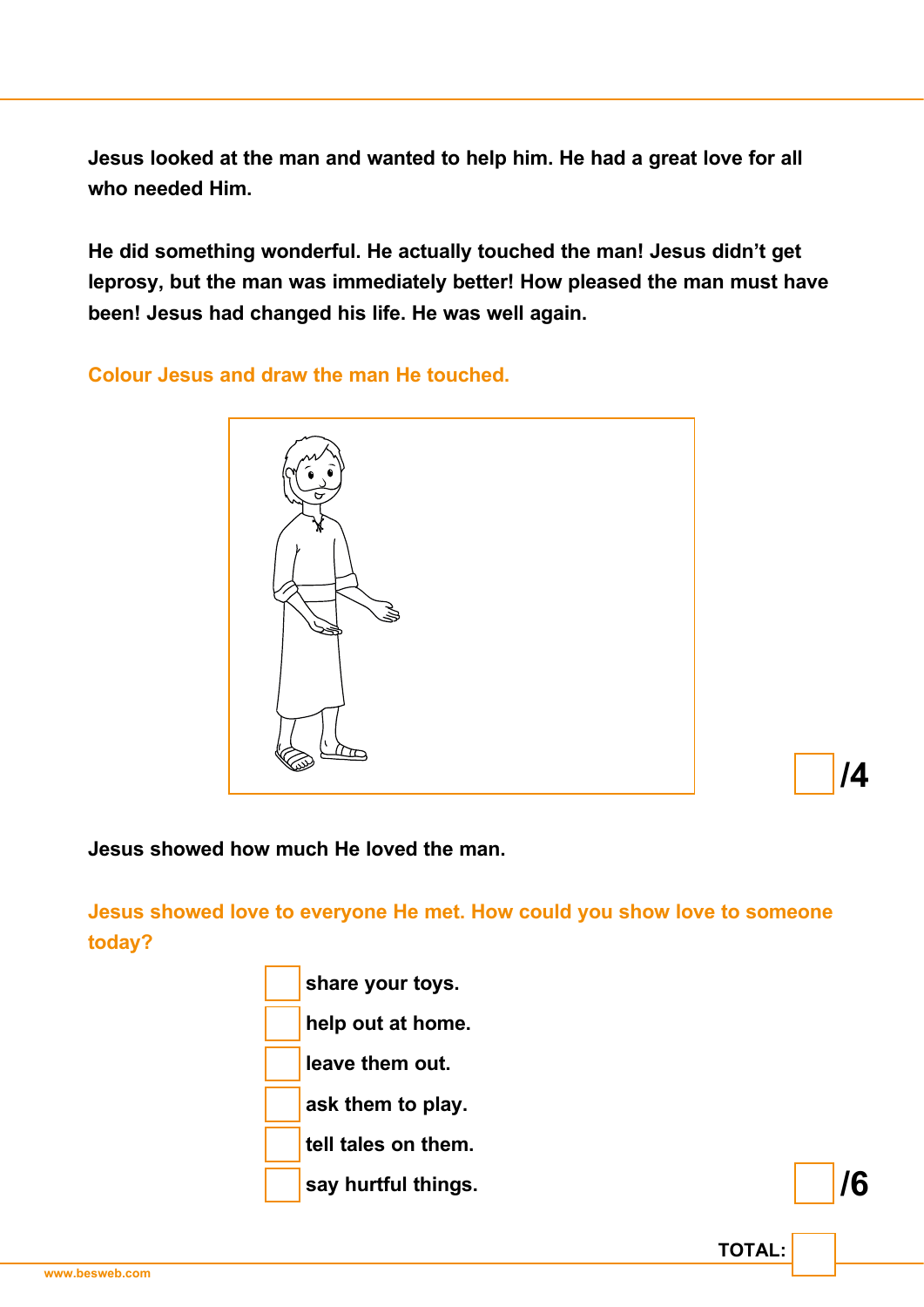**Jesus looked at the man and wanted to help him. He had a great love for all who needed Him.**

**He did something wonderful. He actually touched the man! Jesus didn't get leprosy, but the man was immediately better! How pleased the man must have been! Jesus had changed his life. He was well again.**

**Colour Jesus and draw the man He touched.**



**/4**

**/6**

**TOTAL:**

**Jesus showed how much He loved the man.**

**Jesus showed love to everyone He met. How could you show love to someone today?**

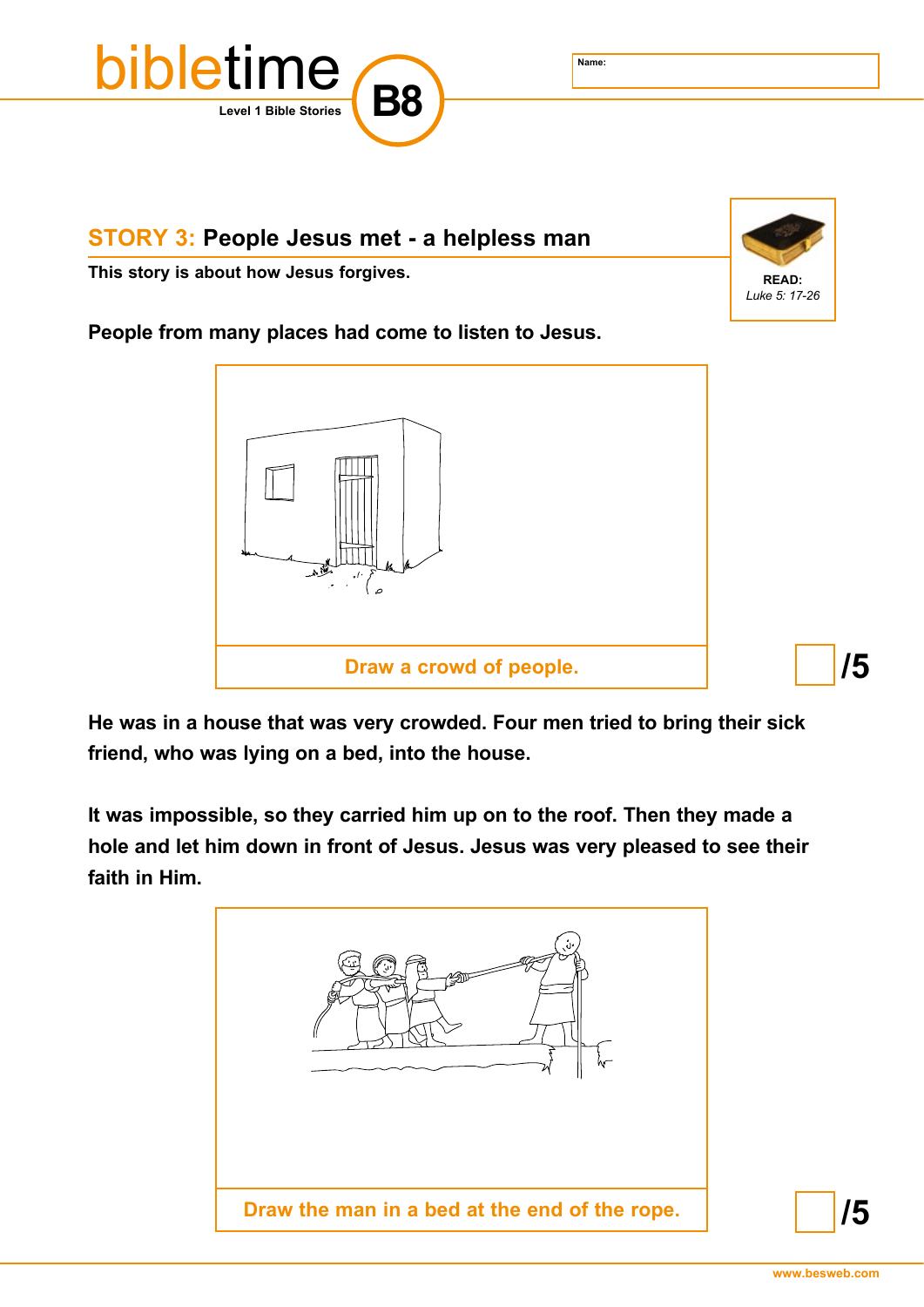

## **STORY 3: People Jesus met - a helpless man**

This story is about how Jesus forgives. **A CONSTANDING THE READ:** READ:



**People from many places had come to listen to Jesus.** 



**He was in a house that was very crowded. Four men tried to bring their sick friend, who was lying on a bed, into the house.**

**It was impossible, so they carried him up on to the roof. Then they made a hole and let him down in front of Jesus. Jesus was very pleased to see their faith in Him.**



**/5**

**/5**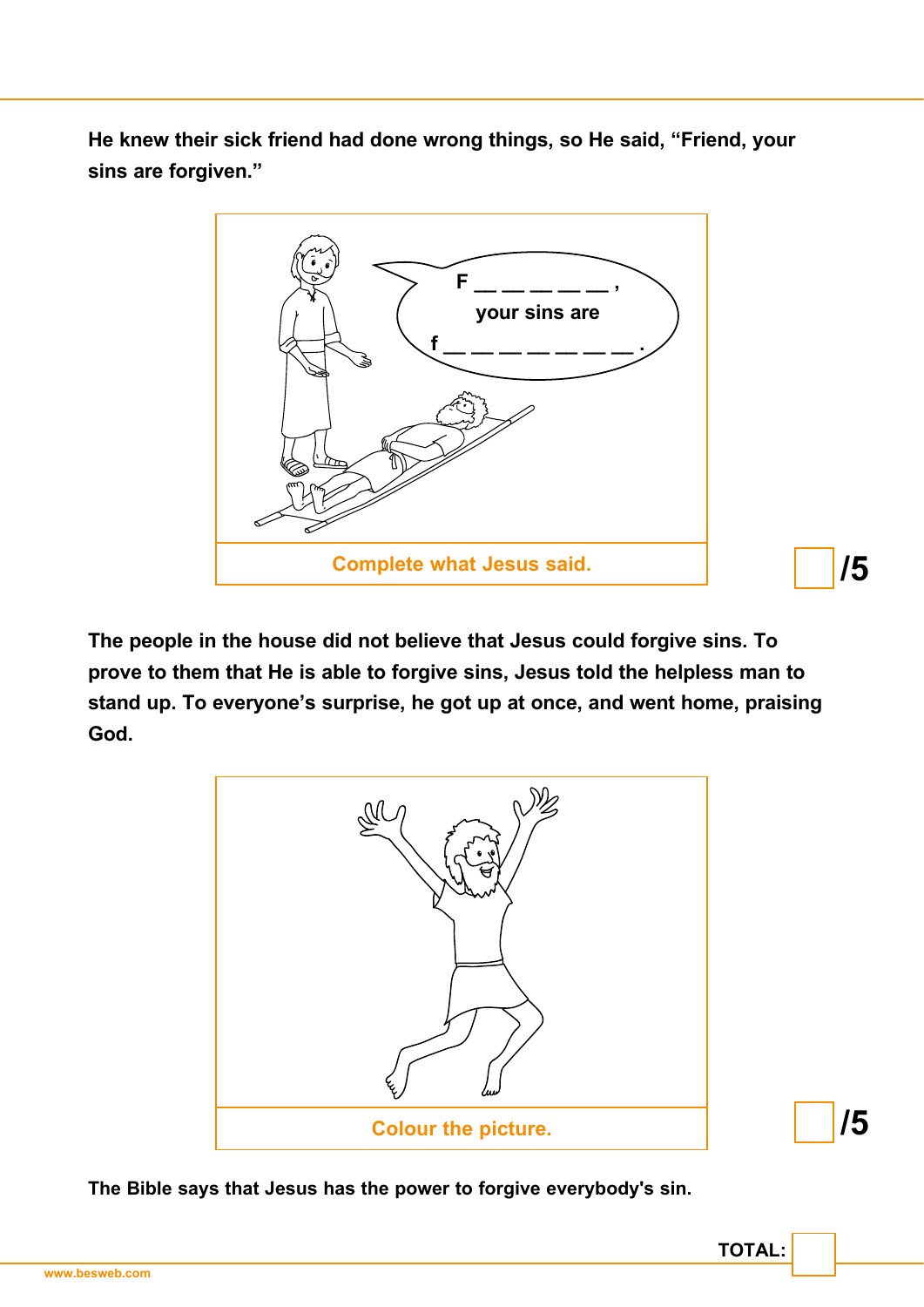**He knew their sick friend had done wrong things, so He said, "Friend, your sins are forgiven."**



**The people in the house did not believe that Jesus could forgive sins. To prove to them that He is able to forgive sins, Jesus told the helpless man to stand up. To everyone's surprise, he got up at once, and went home, praising God.**



**TOTAL:**

**/5**

**The Bible says that Jesus has the power to forgive everybody's sin.**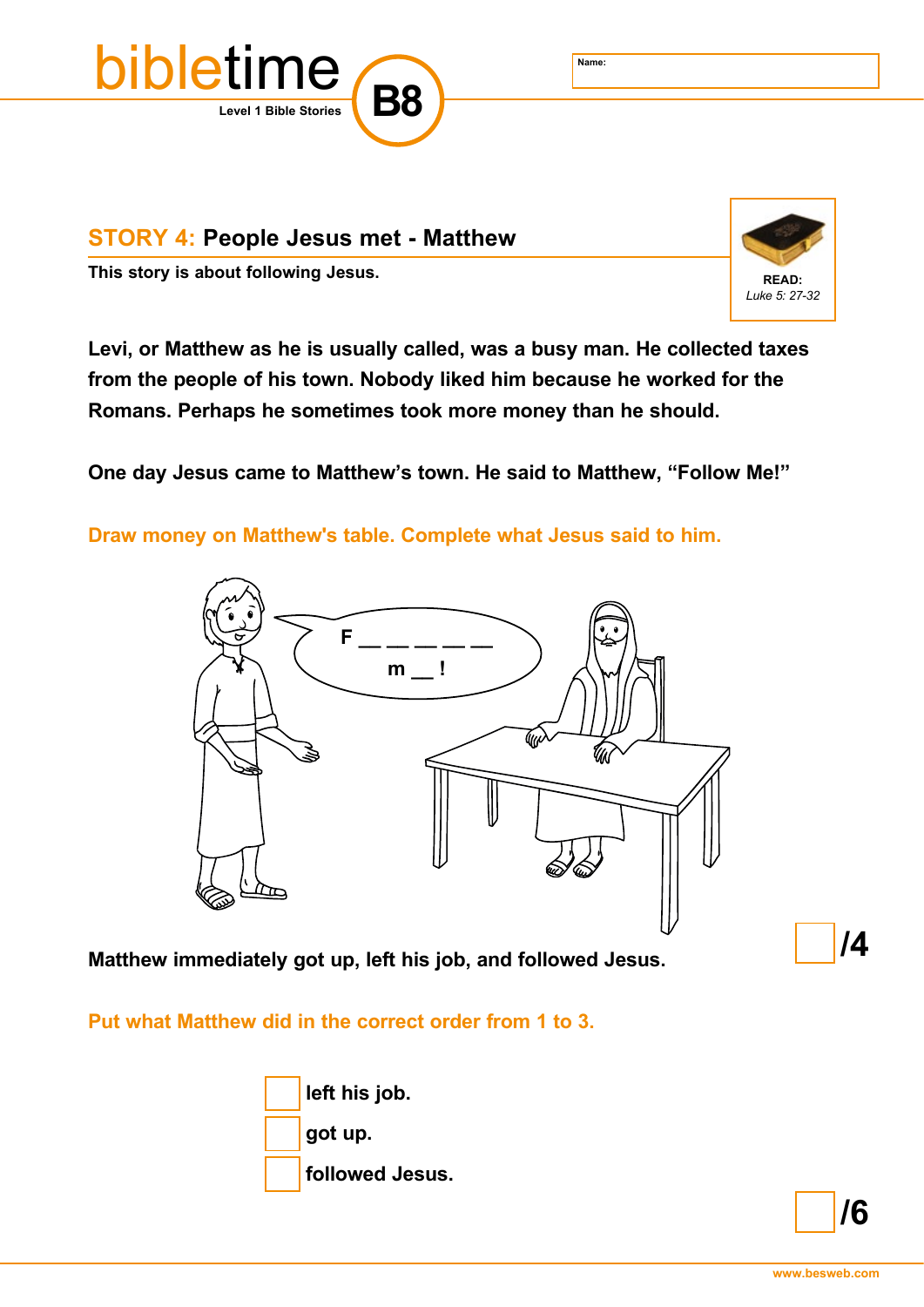

## **STORY 4: People Jesus met - Matthew**

This story is about following Jesus. **A state of the COV of the COV of the READ:** READ:



**Levi, or Matthew as he is usually called, was a busy man. He collected taxes from the people of his town. Nobody liked him because he worked for the Romans. Perhaps he sometimes took more money than he should.**

**One day Jesus came to Matthew's town. He said to Matthew, "Follow Me!"**

**Draw money on Matthew's table. Complete what Jesus said to him.**



**Matthew immediately got up, left his job, and followed Jesus.**

**Put what Matthew did in the correct order from 1 to 3.**





**/4**